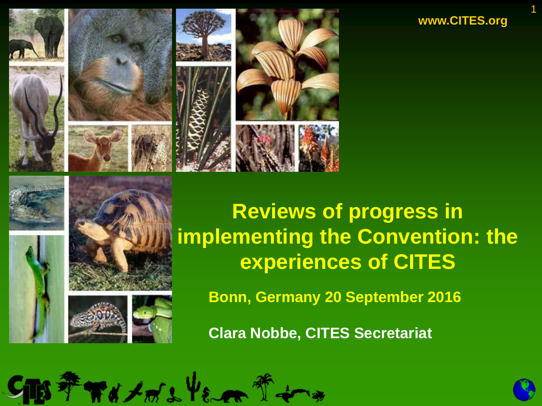**www.CITES.org**

1



THAT S VE



**Reviews of progress in implementing the Convention: the experiences of CITES**

**Bonn, Germany 20 September 2016**

**Clara Nobbe, CITES Secretariat**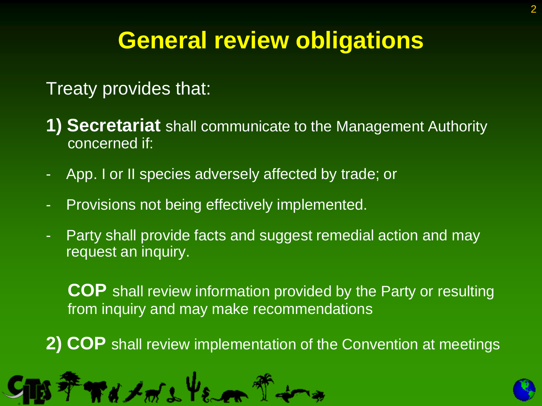## **General review obligations**

### Treaty provides that:

- **1) Secretariat** shall communicate to the Management Authority concerned if:
- App. I or II species adversely affected by trade; or
- Provisions not being effectively implemented.
- Party shall provide facts and suggest remedial action and may request an inquiry.

**COP** shall review information provided by the Party or resulting from inquiry and may make recommendations

**2) COP** shall review implementation of the Convention at meetings



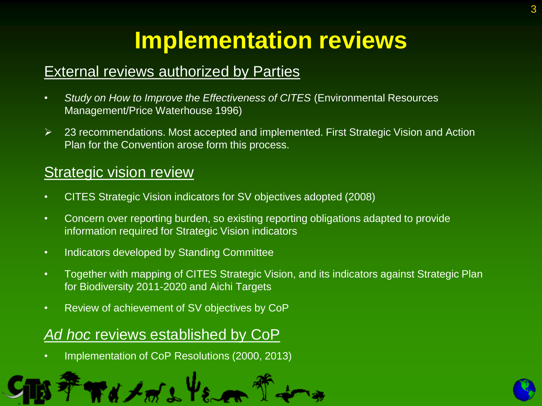#### **External reviews authorized by Parties**

- *Study on How to Improve the Effectiveness of CITES* (Environmental Resources Management/Price Waterhouse 1996)
- 23 recommendations. Most accepted and implemented. First Strategic Vision and Action Plan for the Convention arose form this process.

#### Strategic vision review

- CITES Strategic Vision indicators for SV objectives adopted (2008)
- Concern over reporting burden, so existing reporting obligations adapted to provide information required for Strategic Vision indicators
- Indicators developed by Standing Committee
- Together with mapping of CITES Strategic Vision, and its indicators against Strategic Plan for Biodiversity 2011-2020 and Aichi Targets
- Review of achievement of SV objectives by CoP

#### *Ad hoc* reviews established by CoP

• Implementation of CoP Resolutions (2000, 2013)



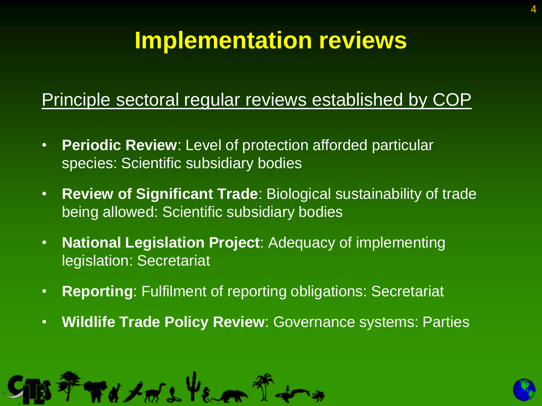#### Principle sectoral regular reviews established by COP

- **Periodic Review**: Level of protection afforded particular species: Scientific subsidiary bodies
- **Review of Significant Trade**: Biological sustainability of trade being allowed: Scientific subsidiary bodies
- **National Legislation Project**: Adequacy of implementing legislation: Secretariat
- **Reporting**: Fulfilment of reporting obligations: Secretariat
- **Wildlife Trade Policy Review**: Governance systems: Parties





4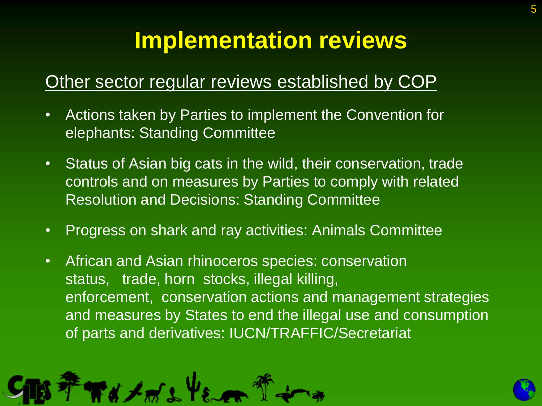### Other sector regular reviews established by COP

- Actions taken by Parties to implement the Convention for elephants: Standing Committee
- Status of Asian big cats in the wild, their conservation, trade controls and on measures by Parties to comply with related Resolution and Decisions: Standing Committee
- Progress on shark and ray activities: Animals Committee
- African and Asian rhinoceros species: conservation status, trade, horn stocks, illegal killing, enforcement, conservation actions and management strategies and measures by States to end the illegal use and consumption of parts and derivatives: IUCN/TRAFFIC/Secretariat



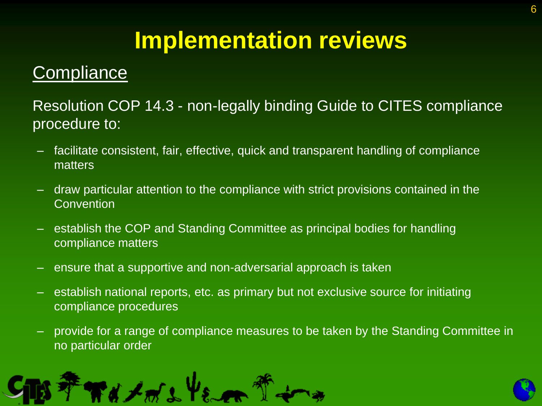### **Compliance**

Resolution COP 14.3 - non-legally binding Guide to CITES compliance procedure to:

- facilitate consistent, fair, effective, quick and transparent handling of compliance matters
- draw particular attention to the compliance with strict provisions contained in the **Convention**
- establish the COP and Standing Committee as principal bodies for handling compliance matters
- ensure that a supportive and non-adversarial approach is taken
- establish national reports, etc. as primary but not exclusive source for initiating compliance procedures
- provide for a range of compliance measures to be taken by the Standing Committee in no particular order